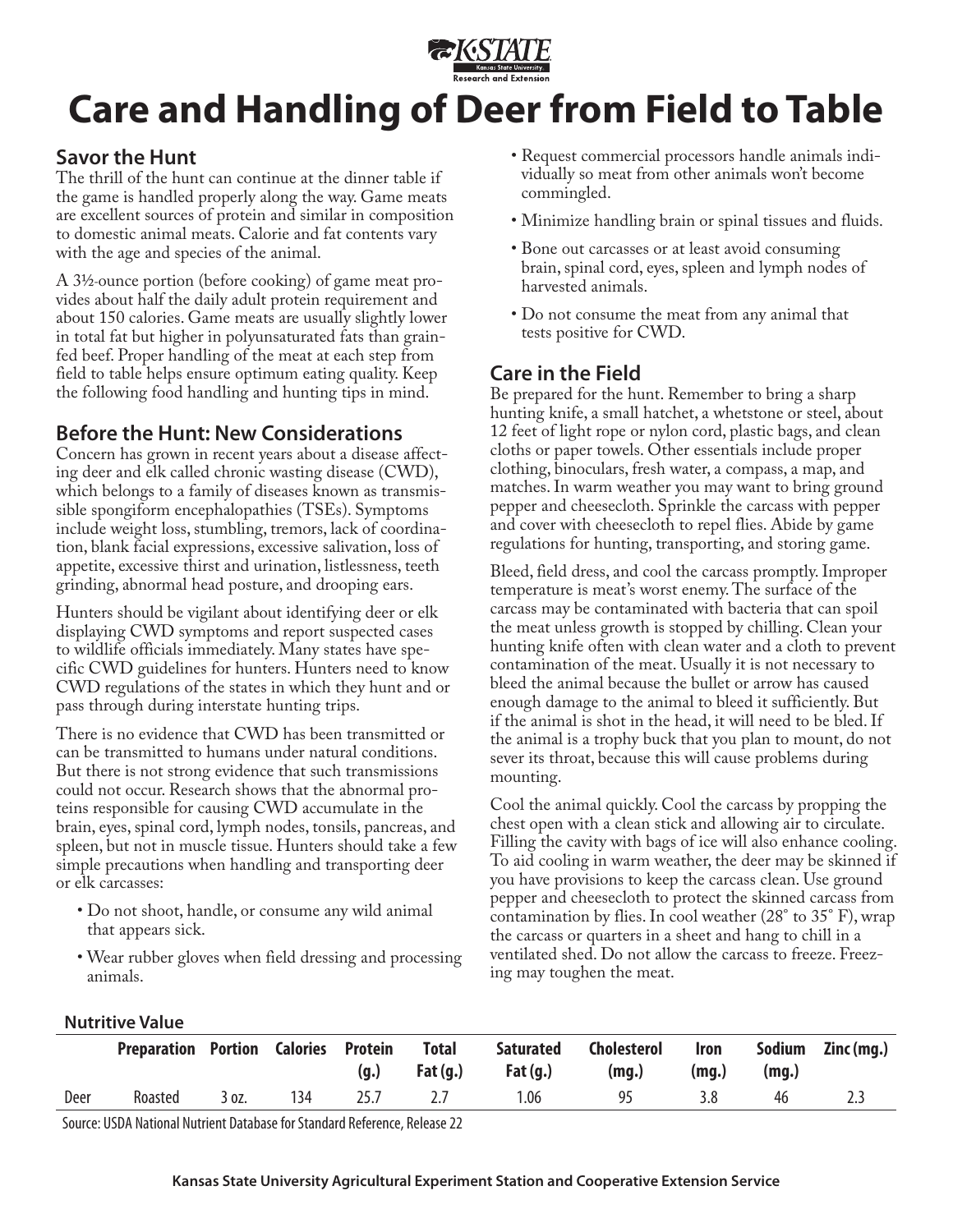

# **Care and Handling of Deer from Field to Table**

## **Savor the Hunt**

The thrill of the hunt can continue at the dinner table if the game is handled properly along the way. Game meats are excellent sources of protein and similar in composition to domestic animal meats. Calorie and fat contents vary with the age and species of the animal.

A 31/2-ounce portion (before cooking) of game meat provides about half the daily adult protein requirement and about 150 calories. Game meats are usually slightly lower in total fat but higher in polyunsaturated fats than grainfed beef. Proper handling of the meat at each step from field to table helps ensure optimum eating quality. Keep the following food handling and hunting tips in mind.

## **Before the Hunt: New Considerations**

Concern has grown in recent years about a disease affecting deer and elk called chronic wasting disease (CWD), which belongs to a family of diseases known as transmissible spongiform encephalopathies (TSEs). Symptoms include weight loss, stumbling, tremors, lack of coordination, blank facial expressions, excessive salivation, loss of appetite, excessive thirst and urination, listlessness, teeth grinding, abnormal head posture, and drooping ears.

Hunters should be vigilant about identifying deer or elk displaying CWD symptoms and report suspected cases to wildlife officials immediately. Many states have specific CWD guidelines for hunters. Hunters need to know CWD regulations of the states in which they hunt and or pass through during interstate hunting trips.

There is no evidence that CWD has been transmitted or can be transmitted to humans under natural conditions. But there is not strong evidence that such transmissions could not occur. Research shows that the abnormal proteins responsible for causing CWD accumulate in the brain, eyes, spinal cord, lymph nodes, tonsils, pancreas, and spleen, but not in muscle tissue. Hunters should take a few simple precautions when handling and transporting deer or elk carcasses:

- Do not shoot, handle, or consume any wild animal that appears sick.
- Wear rubber gloves when field dressing and processing animals.
- Request commercial processors handle animals individually so meat from other animals won't become commingled.
- Minimize handling brain or spinal tissues and fluids.
- Bone out carcasses or at least avoid consuming brain, spinal cord, eyes, spleen and lymph nodes of harvested animals.
- Do not consume the meat from any animal that tests positive for CWD.

# **Care in the Field**

Be prepared for the hunt. Remember to bring a sharp hunting knife, a small hatchet, a whetstone or steel, about 12 feet of light rope or nylon cord, plastic bags, and clean cloths or paper towels. Other essentials include proper clothing, binoculars, fresh water, a compass, a map, and matches. In warm weather you may want to bring ground pepper and cheesecloth. Sprinkle the carcass with pepper and cover with cheesecloth to repel flies. Abide by game regulations for hunting, transporting, and storing game.

Bleed, field dress, and cool the carcass promptly. Improper temperature is meat's worst enemy. The surface of the carcass may be contaminated with bacteria that can spoil the meat unless growth is stopped by chilling. Clean your hunting knife often with clean water and a cloth to prevent contamination of the meat. Usually it is not necessary to bleed the animal because the bullet or arrow has caused enough damage to the animal to bleed it sufficiently. But if the animal is shot in the head, it will need to be bled. If the animal is a trophy buck that you plan to mount, do not sever its throat, because this will cause problems during mounting.

Cool the animal quickly. Cool the carcass by propping the chest open with a clean stick and allowing air to circulate. Filling the cavity with bags of ice will also enhance cooling. To aid cooling in warm weather, the deer may be skinned if you have provisions to keep the carcass clean. Use ground pepper and cheesecloth to protect the skinned carcass from contamination by flies. In cool weather (28° to 35° F), wrap the carcass or quarters in a sheet and hang to chill in a ventilated shed. Do not allow the carcass to freeze. Freezing may toughen the meat.

#### **Nutritive Value**

|      | <b>Preparation Portion</b> |       | Calories Protein | (g.) | <b>Total</b><br>Fat $(q.)$ | <b>Saturated</b><br>Fat $(q.)$ | <b>Cholesterol</b><br>(mq.) | Iron<br>(mq.) | Sodium<br>(mq.) | Zinc (mg.) |
|------|----------------------------|-------|------------------|------|----------------------------|--------------------------------|-----------------------------|---------------|-----------------|------------|
| Deer | Roasted                    | 3 oz. | 134              | 25.7 |                            | 1.06                           | 95                          | 3.8           | 46              |            |

Source: USDA National Nutrient Database for Standard Reference, Release 22